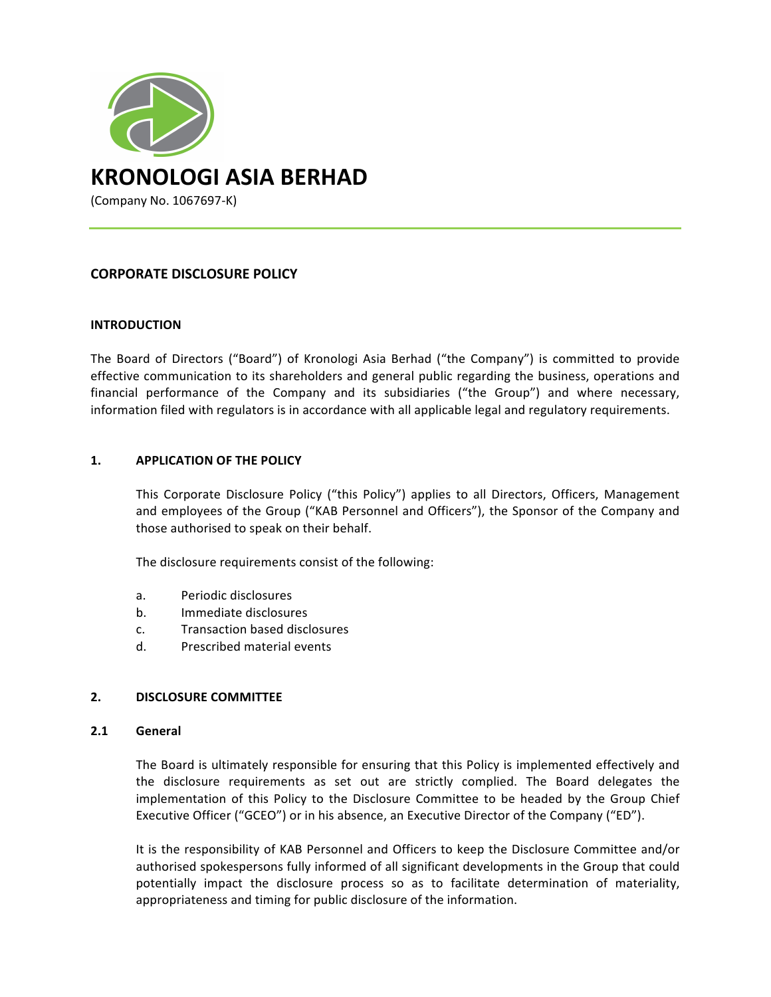

# **CORPORATE DISCLOSURE POLICY**

## **INTRODUCTION**

The Board of Directors ("Board") of Kronologi Asia Berhad ("the Company") is committed to provide effective communication to its shareholders and general public regarding the business, operations and financial performance of the Company and its subsidiaries ("the Group") and where necessary, information filed with regulators is in accordance with all applicable legal and regulatory requirements.

## 1. **APPLICATION OF THE POLICY**

This Corporate Disclosure Policy ("this Policy") applies to all Directors, Officers, Management and employees of the Group ("KAB Personnel and Officers"), the Sponsor of the Company and those authorised to speak on their behalf.

The disclosure requirements consist of the following:

- a. Periodic disclosures
- b. Immediate disclosures
- c. Transaction based disclosures
- d. Prescribed material events

#### **2. DISCLOSURE COMMITTEE**

#### **2.1 General**

The Board is ultimately responsible for ensuring that this Policy is implemented effectively and the disclosure requirements as set out are strictly complied. The Board delegates the implementation of this Policy to the Disclosure Committee to be headed by the Group Chief Executive Officer ("GCEO") or in his absence, an Executive Director of the Company ("ED").

It is the responsibility of KAB Personnel and Officers to keep the Disclosure Committee and/or authorised spokespersons fully informed of all significant developments in the Group that could potentially impact the disclosure process so as to facilitate determination of materiality, appropriateness and timing for public disclosure of the information.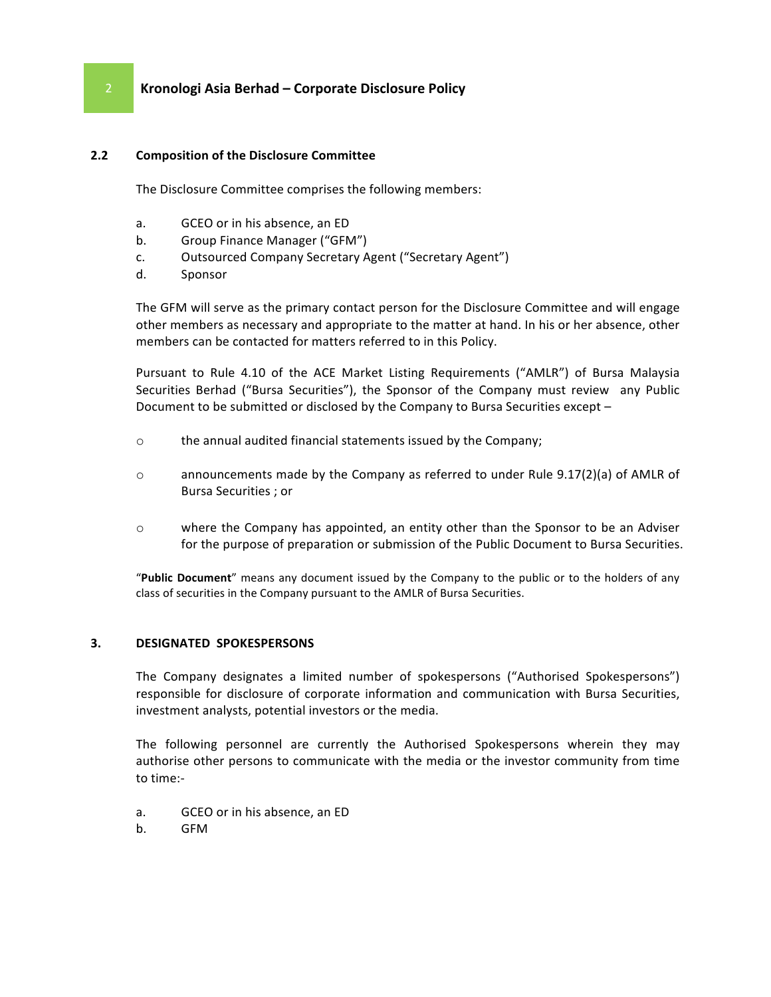# **2 Kronologi Asia Berhad – Corporate Disclosure Policy**

## **2.2 Composition of the Disclosure Committee**

The Disclosure Committee comprises the following members:

- a. GCEO or in his absence, an ED
- b. Group Finance Manager ("GFM")
- c. Outsourced Company Secretary Agent ("Secretary Agent")
- d. Sponsor

The GFM will serve as the primary contact person for the Disclosure Committee and will engage other members as necessary and appropriate to the matter at hand. In his or her absence, other members can be contacted for matters referred to in this Policy.

Pursuant to Rule 4.10 of the ACE Market Listing Requirements ("AMLR") of Bursa Malaysia Securities Berhad ("Bursa Securities"), the Sponsor of the Company must review any Public Document to be submitted or disclosed by the Company to Bursa Securities except -

- o the annual audited financial statements issued by the Company;
- $\circ$  announcements made by the Company as referred to under Rule 9.17(2)(a) of AMLR of Bursa Securities ; or
- $\circ$  where the Company has appointed, an entity other than the Sponsor to be an Adviser for the purpose of preparation or submission of the Public Document to Bursa Securities.

"Public Document" means any document issued by the Company to the public or to the holders of any class of securities in the Company pursuant to the AMLR of Bursa Securities.

# **3. DESIGNATED SPOKESPERSONS**

The Company designates a limited number of spokespersons ("Authorised Spokespersons") responsible for disclosure of corporate information and communication with Bursa Securities, investment analysts, potential investors or the media.

The following personnel are currently the Authorised Spokespersons wherein they may authorise other persons to communicate with the media or the investor community from time to time:-

- a. GCEO or in his absence, an ED
- b. GFM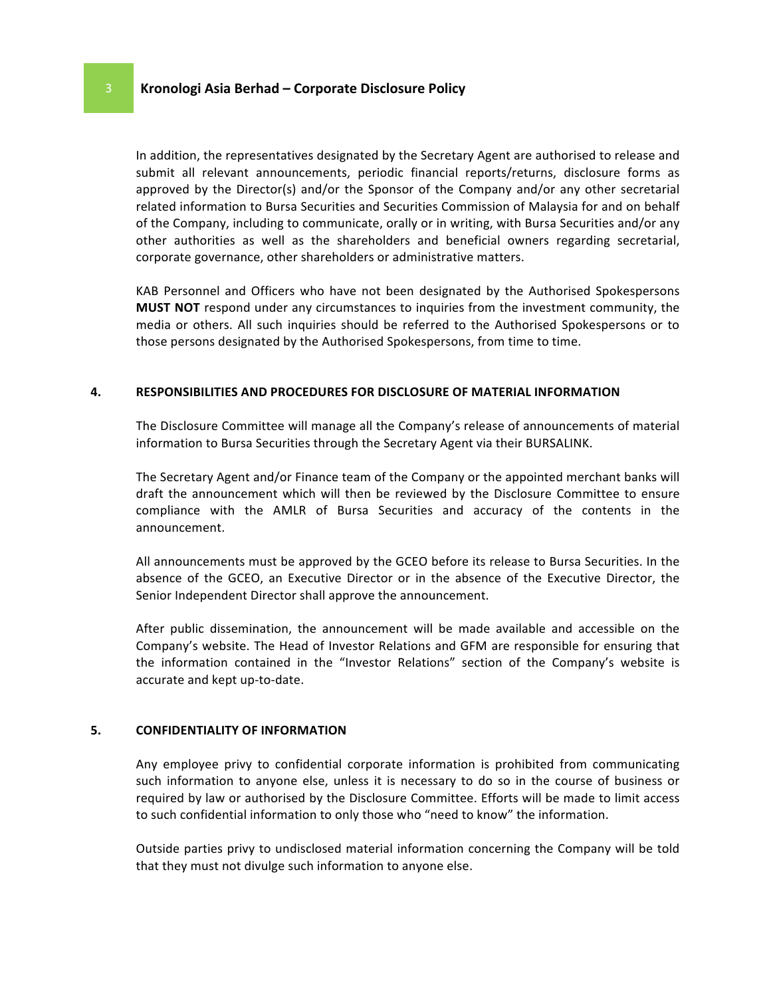# **8** Kronologi Asia Berhad – Corporate Disclosure Policy

In addition, the representatives designated by the Secretary Agent are authorised to release and submit all relevant announcements, periodic financial reports/returns, disclosure forms as approved by the Director(s) and/or the Sponsor of the Company and/or any other secretarial related information to Bursa Securities and Securities Commission of Malaysia for and on behalf of the Company, including to communicate, orally or in writing, with Bursa Securities and/or any other authorities as well as the shareholders and beneficial owners regarding secretarial, corporate governance, other shareholders or administrative matters.

KAB Personnel and Officers who have not been designated by the Authorised Spokespersons **MUST NOT** respond under any circumstances to inquiries from the investment community, the media or others. All such inquiries should be referred to the Authorised Spokespersons or to those persons designated by the Authorised Spokespersons, from time to time.

#### **4. RESPONSIBILITIES AND PROCEDURES FOR DISCLOSURE OF MATERIAL INFORMATION**

The Disclosure Committee will manage all the Company's release of announcements of material information to Bursa Securities through the Secretary Agent via their BURSALINK.

The Secretary Agent and/or Finance team of the Company or the appointed merchant banks will draft the announcement which will then be reviewed by the Disclosure Committee to ensure compliance with the AMLR of Bursa Securities and accuracy of the contents in the announcement.

All announcements must be approved by the GCEO before its release to Bursa Securities. In the absence of the GCEO, an Executive Director or in the absence of the Executive Director, the Senior Independent Director shall approve the announcement.

After public dissemination, the announcement will be made available and accessible on the Company's website. The Head of Investor Relations and GFM are responsible for ensuring that the information contained in the "Investor Relations" section of the Company's website is accurate and kept up-to-date.

#### **5. CONFIDENTIALITY OF INFORMATION**

Any employee privy to confidential corporate information is prohibited from communicating such information to anyone else, unless it is necessary to do so in the course of business or required by law or authorised by the Disclosure Committee. Efforts will be made to limit access to such confidential information to only those who "need to know" the information.

Outside parties privy to undisclosed material information concerning the Company will be told that they must not divulge such information to anyone else.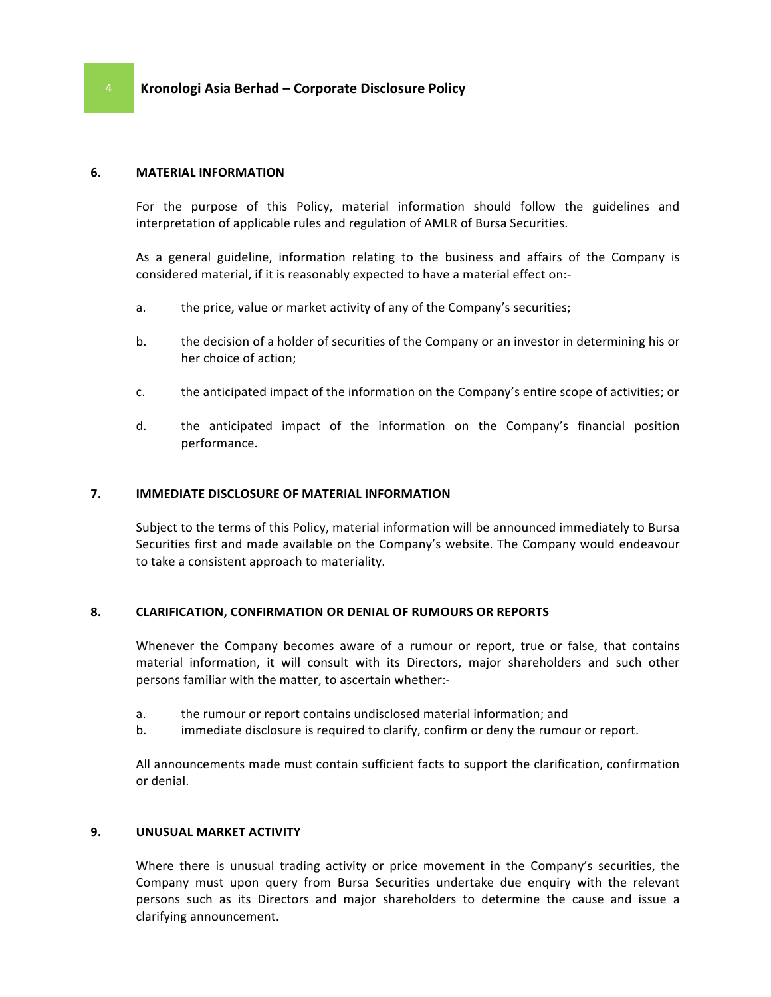#### **6. MATERIAL INFORMATION**

For the purpose of this Policy, material information should follow the guidelines and interpretation of applicable rules and regulation of AMLR of Bursa Securities.

As a general guideline, information relating to the business and affairs of the Company is considered material, if it is reasonably expected to have a material effect on:-

- a. the price, value or market activity of any of the Company's securities;
- b. the decision of a holder of securities of the Company or an investor in determining his or her choice of action;
- c. the anticipated impact of the information on the Company's entire scope of activities; or
- d. the anticipated impact of the information on the Company's financial position performance.

#### **7. IMMEDIATE DISCLOSURE OF MATERIAL INFORMATION**

Subject to the terms of this Policy, material information will be announced immediately to Bursa Securities first and made available on the Company's website. The Company would endeavour to take a consistent approach to materiality.

#### 8. **CLARIFICATION, CONFIRMATION OR DENIAL OF RUMOURS OR REPORTS**

Whenever the Company becomes aware of a rumour or report, true or false, that contains material information, it will consult with its Directors, major shareholders and such other persons familiar with the matter, to ascertain whether:-

- a. the rumour or report contains undisclosed material information; and
- b. immediate disclosure is required to clarify, confirm or deny the rumour or report.

All announcements made must contain sufficient facts to support the clarification, confirmation or denial.

#### **9. UNUSUAL MARKET ACTIVITY**

Where there is unusual trading activity or price movement in the Company's securities, the Company must upon query from Bursa Securities undertake due enquiry with the relevant persons such as its Directors and major shareholders to determine the cause and issue a clarifying announcement.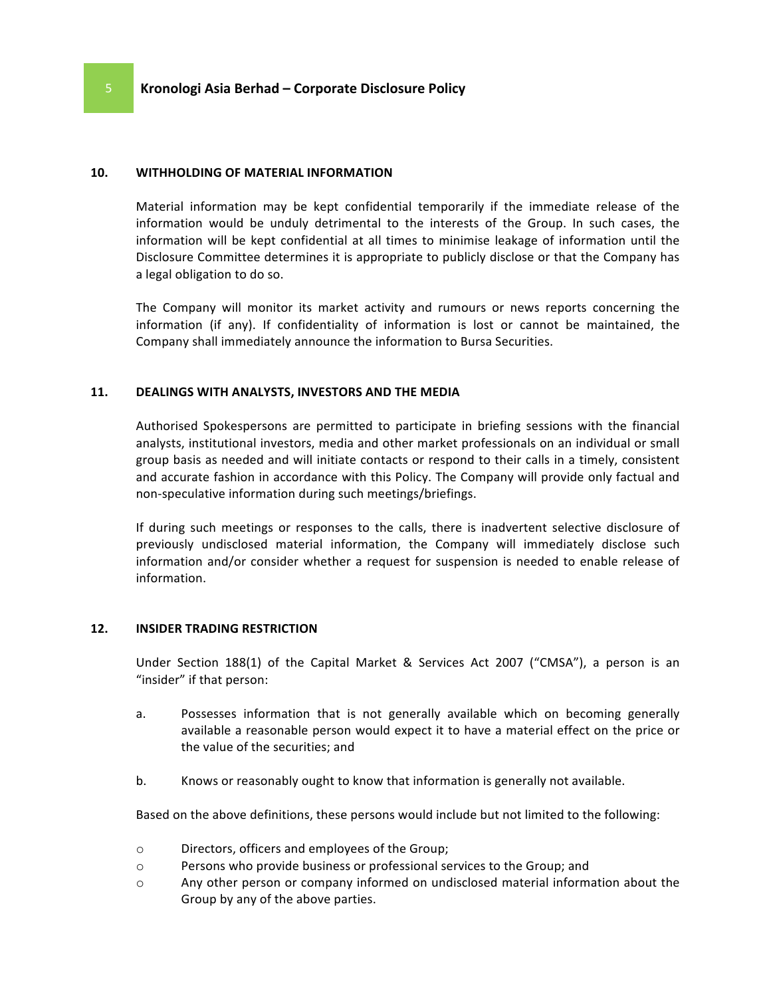#### **10. WITHHOLDING OF MATERIAL INFORMATION**

Material information may be kept confidential temporarily if the immediate release of the information would be unduly detrimental to the interests of the Group. In such cases, the information will be kept confidential at all times to minimise leakage of information until the Disclosure Committee determines it is appropriate to publicly disclose or that the Company has a legal obligation to do so.

The Company will monitor its market activity and rumours or news reports concerning the information (if any). If confidentiality of information is lost or cannot be maintained, the Company shall immediately announce the information to Bursa Securities.

#### 11. **DEALINGS WITH ANALYSTS, INVESTORS AND THE MEDIA**

Authorised Spokespersons are permitted to participate in briefing sessions with the financial analysts, institutional investors, media and other market professionals on an individual or small group basis as needed and will initiate contacts or respond to their calls in a timely, consistent and accurate fashion in accordance with this Policy. The Company will provide only factual and non-speculative information during such meetings/briefings.

If during such meetings or responses to the calls, there is inadvertent selective disclosure of previously undisclosed material information, the Company will immediately disclose such information and/or consider whether a request for suspension is needed to enable release of information.

#### **12. INSIDER TRADING RESTRICTION**

Under Section 188(1) of the Capital Market & Services Act 2007 ("CMSA"), a person is an "insider" if that person:

- a. Possesses information that is not generally available which on becoming generally available a reasonable person would expect it to have a material effect on the price or the value of the securities; and
- b. Knows or reasonably ought to know that information is generally not available.

Based on the above definitions, these persons would include but not limited to the following:

- o Directors, officers and employees of the Group;
- o Persons who provide business or professional services to the Group; and
- $\circ$  Any other person or company informed on undisclosed material information about the Group by any of the above parties.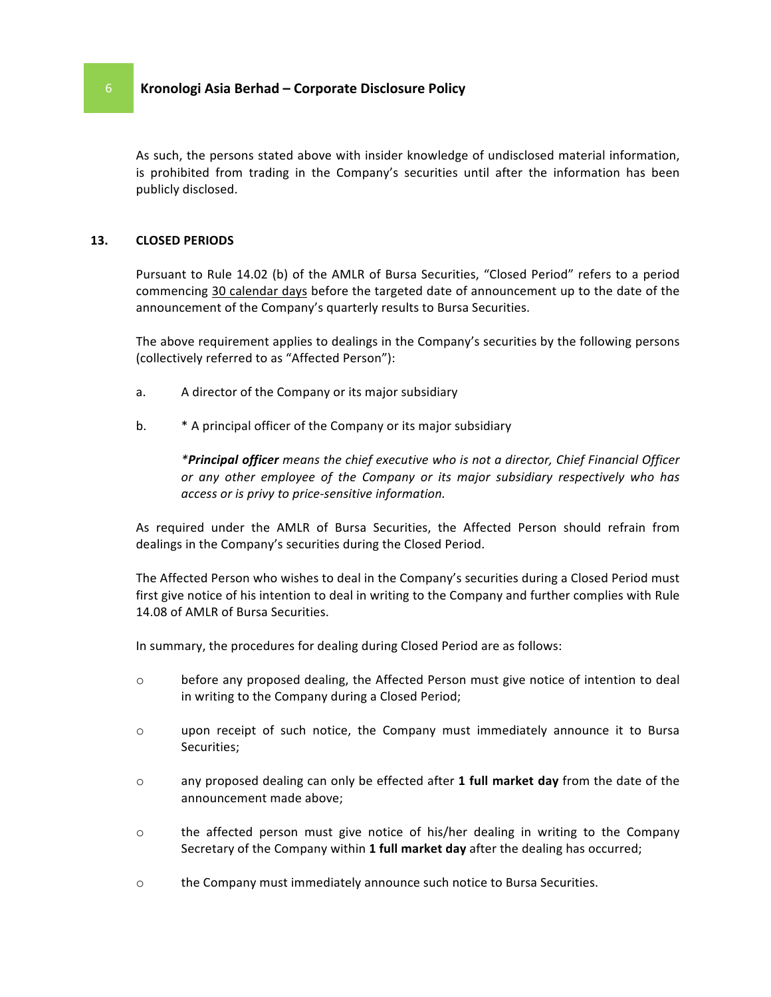# 6 **Kronologi Asia Berhad – Corporate Disclosure Policy**

As such, the persons stated above with insider knowledge of undisclosed material information, is prohibited from trading in the Company's securities until after the information has been publicly disclosed.

#### **13. CLOSED PERIODS**

Pursuant to Rule 14.02 (b) of the AMLR of Bursa Securities, "Closed Period" refers to a period commencing 30 calendar days before the targeted date of announcement up to the date of the announcement of the Company's quarterly results to Bursa Securities.

The above requirement applies to dealings in the Company's securities by the following persons (collectively referred to as "Affected Person"):

- a. A director of the Company or its major subsidiary
- b.  $*$  A principal officer of the Company or its major subsidiary

*\*Principal officer means the chief executive who is not a director, Chief Financial Officer* or any other employee of the Company or its major subsidiary respectively who has *access or is privy to price-sensitive information.*

As required under the AMLR of Bursa Securities, the Affected Person should refrain from dealings in the Company's securities during the Closed Period.

The Affected Person who wishes to deal in the Company's securities during a Closed Period must first give notice of his intention to deal in writing to the Company and further complies with Rule 14.08 of AMLR of Bursa Securities.

In summary, the procedures for dealing during Closed Period are as follows:

- $\circ$  before any proposed dealing, the Affected Person must give notice of intention to deal in writing to the Company during a Closed Period;
- $\circ$  upon receipt of such notice, the Company must immediately announce it to Bursa Securities;
- o any proposed dealing can only be effected after 1 full market day from the date of the announcement made above;
- $\circ$  the affected person must give notice of his/her dealing in writing to the Company Secretary of the Company within 1 full market day after the dealing has occurred;
- $\circ$  the Company must immediately announce such notice to Bursa Securities.